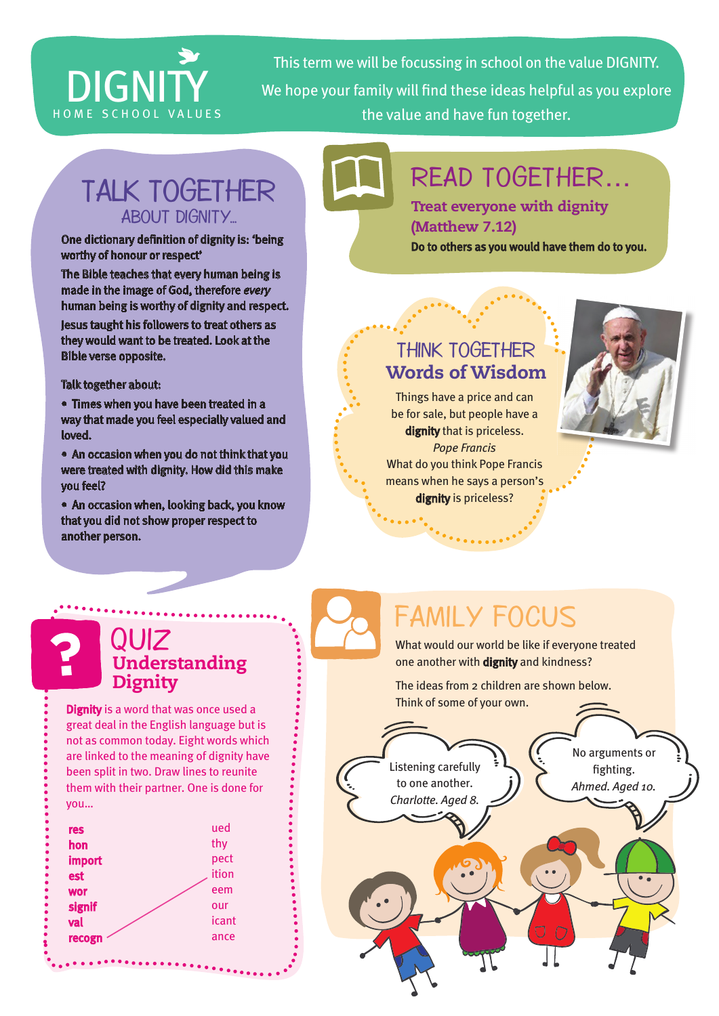# DIGNITY

This term we will be focussing in school on the value DIGNITY. We hope your family will find these ideas helpful as you explore HOME SCHOOL VALUES the value and have fun together.

## TALK TOGETHER ABOUT DIGNITY...

#### One dictionary definition of dignity is: 'being worthy of honour or respect'

The Bible teaches that every human being is made in the image of God, therefore *every*  human being is worthy of dignity and respect.

Jesus taught his followers to treat others as they would want to be treated. Look at the Bible verse opposite.

#### Talk together about:

• Times when you have been treated in a way that made you feel especially valued and loved.

• An occasion when you do not think that you were treated with dignity. How did this make you feel?

• An occasion when, looking back, you know that you did not show proper respect to another person.

# READ TOGETHER…

Treat everyone with dignity (Matthew 7.12)

Do to others as you would have them do to you.

### THINK TOGETHER Words of Wisdom

Things have a price and can be for sale, but people have a dignity that is priceless. *Pope Francis* What do you think Pope Francis means when he says a person's dignity is priceless?



## FAMILY FOCUS

What would our world be like if everyone treated one another with **dignity** and kindness?

The ideas from 2 children are shown below. Think of some of your own.



QUIZ Understanding Dignity

**Dignity** is a word that was once used a great deal in the English language but is not as common today. Eight words which are linked to the meaning of dignity have been split in two. Draw lines to reunite them with their partner. One is done for you…

| res        | ued   |
|------------|-------|
| hon        | thy   |
| import     | pect  |
| est        | ition |
| <b>wor</b> | eem   |
| signif     | our   |
| val        | icant |
| recogn     | ance  |